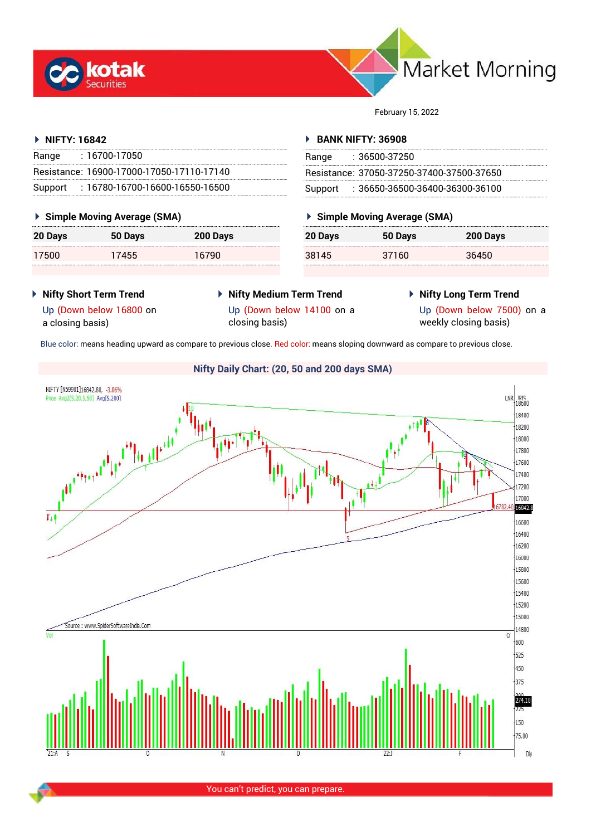



February 15, 2022

## **NIFTY: 16842**

| Range | : 16700-17050                             |
|-------|-------------------------------------------|
|       | Resistance: 16900-17000-17050-17110-17140 |
|       | Support: 16780-16700-16600-16550-16500    |

#### **Simple Moving Average (SMA)**

| 20 Days | 50 Days | 200 Days |
|---------|---------|----------|
| 17500   | 17455   | 16790    |

#### **BANK NIFTY: 36908**

| Range | $: 36500 - 37250$                         |
|-------|-------------------------------------------|
|       | Resistance: 37050-37250-37400-37500-37650 |
|       | Support: 36650-36500-36400-36300-36100    |

# **Simple Moving Average (SMA)**

| 20 Days | 50 Days | 200 Days |
|---------|---------|----------|
| 38145   | 37160   | 36450    |

- **Nifty Short Term Trend**
- **Nifty Medium Term Trend** closing basis)
- **Nifty Long Term Trend**

Up (Down below 16800 on a closing basis)

Up (Down below 14100 on a

Up (Down below 7500) on a weekly closing basis)

Blue color: means heading upward as compare to previous close. Red color: means sloping downward as compare to previous close.



You can't predict, you can prepare.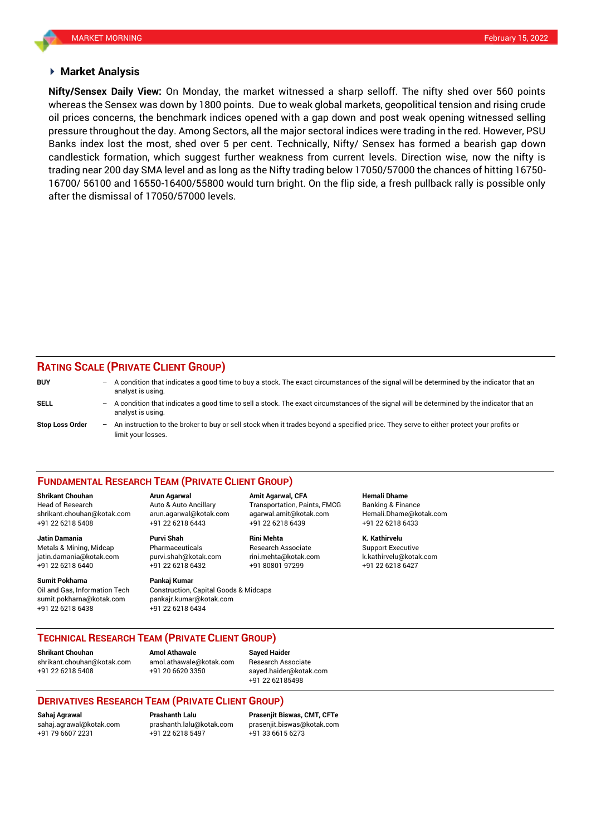#### **Market Analysis**

whereas the Sensex was down by 1800 points. Due to weak global markets, geopolitical tension and rising crude **Nifty/Sensex Daily View:** On Monday, the market witnessed a sharp selloff. The nifty shed over 560 points oil prices concerns, the benchmark indices opened with a gap down and post weak opening witnessed selling pressure throughout the day. Among Sectors, all the major sectoral indices were trading in the red. However, PSU Banks index lost the most, shed over 5 per cent. Technically, Nifty/ Sensex has formed a bearish gap down candlestick formation, which suggest further weakness from current levels. Direction wise, now the nifty is trading near 200 day SMA level and as long as the Nifty trading below 17050/57000 the chances of hitting 16750- 16700/ 56100 and 16550-16400/55800 would turn bright. On the flip side, a fresh pullback rally is possible only after the dismissal of 17050/57000 levels.

#### **RATING SCALE (PRIVATE CLIENT GROUP)**

| <b>BUY</b>             |     | $-$ A condition that indicates a good time to buy a stock. The exact circumstances of the signal will be determined by the indicator that an<br>analyst is using. |
|------------------------|-----|-------------------------------------------------------------------------------------------------------------------------------------------------------------------|
| <b>SELL</b>            | $-$ | A condition that indicates a good time to sell a stock. The exact circumstances of the signal will be determined by the indicator that an<br>analyst is using.    |
| <b>Stop Loss Order</b> | $-$ | An instruction to the broker to buy or sell stock when it trades beyond a specified price. They serve to either protect your profits or<br>limit your losses.     |

#### **FUNDAMENTAL RESEARCH TEAM (PRIVATE CLIENT GROUP)**

Head of Research Auto & Auto Ancillary Transportation, Paints, FMCG Banking & Finance [shrikant.chouhan@kotak.com](mailto:shrikant.chouhan@kotak.com) arun.agarwal@kotak.com agarwal.amit@kotak.com Hemali.Dhame@kotak.com

**Jatin Damania Purvi Shah Rini Mehta K. Kathirvelu** Metals & Mining, Midcap Pharmaceuticals Research Associate Support Executive jatin.damania@kotak.com [purvi.shah@kotak.com](mailto:purvi.shah@kotak.com) rini.mehta@kotak.com [k.kathirvelu@kotak.com](mailto:k.kathirvelu@kotak.com)

**Sumit Pokharna** Pankaj Kumar Oil and Gas, Information Tech Construction, Capital Goods & Midcaps sumit.pokharna@kotak.com pankajr.kumar@kotak.com

+91 22 6218 5408 +91 22 6218 6443 +91 22 6218 6439 +91 22 6218 6433

+91 22 6218 6438 +91 22 6218 6434

**Shrikant Chouhan Arun Agarwal Amit Agarwal, CFA Hemali Dhame**

+91 22 6218 6440 +91 22 6218 6432 +91 80801 97299 +91 22 6218 6427

## **TECHNICAL RESEARCH TEAM (PRIVATE CLIENT GROUP)**

[shrikant.chouhan@kotak.com](mailto:shrikant.chouhan@kotak.com) [amol.athawale@kotak.com](mailto:amol.athawale@kotak.com) Research Associate +91 22 6218 5408 +91 20 6620 3350 [sayed.haider@kotak.com](mailto:sayed.haider@kotak.com)

**Shrikant Chouhan**<br>**Amol Athawale Athawale Chomes and athawale @kotak com Besearch Ass** 

+91 22 62185498

## **DERIVATIVES RESEARCH TEAM (PRIVATE CLIENT GROUP)**

+91 22 6218 5497 +91 33 6615 6273

**Sahaj Agrawal Prashanth Lalu Prasenjit Biswas, CMT, CFTe** [sahaj.agrawal@kotak.com](mailto:sahaj.agrawal@kotak.com) [prashanth.lalu@kotak.com](mailto:prashanth.lalu@kotak.com) [prasenjit.biswas@kotak.com](mailto:prasenjit.biswas@kotak.com)